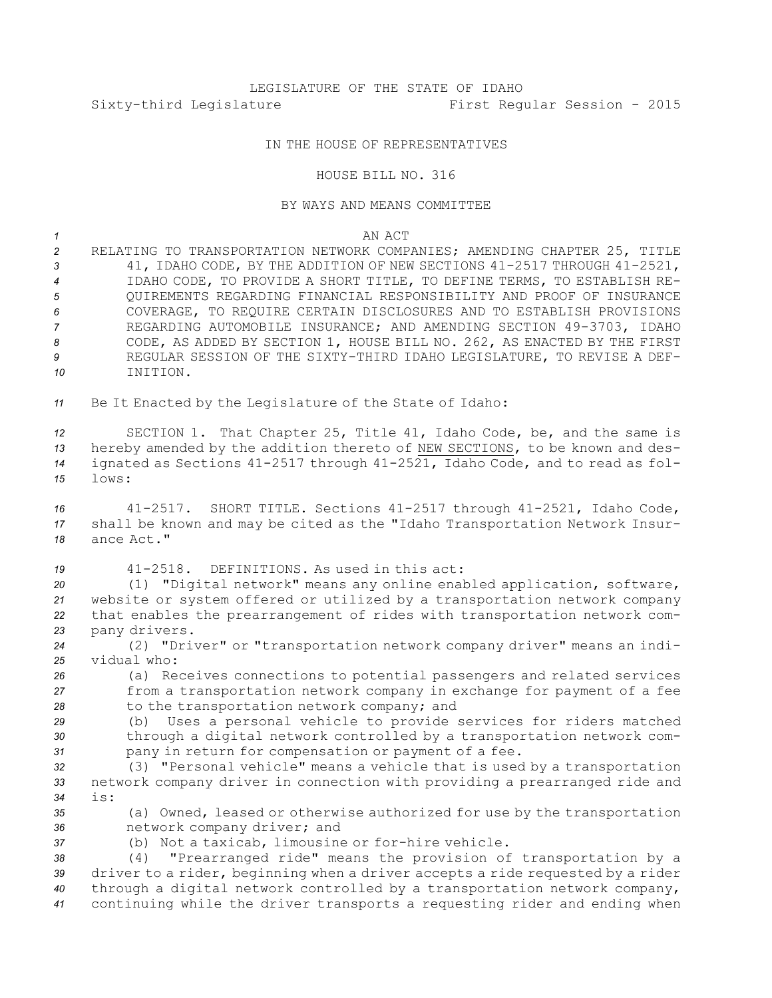## LEGISLATURE OF THE STATE OF IDAHO Sixty-third Legislature First Regular Session - 2015

## IN THE HOUSE OF REPRESENTATIVES

## HOUSE BILL NO. 316

## BY WAYS AND MEANS COMMITTEE

| AN ACT<br>$\sim$ $\sim$ |
|-------------------------|
|                         |

 RELATING TO TRANSPORTATION NETWORK COMPANIES; AMENDING CHAPTER 25, TITLE 41, IDAHO CODE, BY THE ADDITION OF NEW SECTIONS 41-2517 THROUGH 41-2521, IDAHO CODE, TO PROVIDE A SHORT TITLE, TO DEFINE TERMS, TO ESTABLISH RE- QUIREMENTS REGARDING FINANCIAL RESPONSIBILITY AND PROOF OF INSURANCE COVERAGE, TO REQUIRE CERTAIN DISCLOSURES AND TO ESTABLISH PROVISIONS REGARDING AUTOMOBILE INSURANCE; AND AMENDING SECTION 49-3703, IDAHO CODE, AS ADDED BY SECTION 1, HOUSE BILL NO. 262, AS ENACTED BY THE FIRST REGULAR SESSION OF THE SIXTY-THIRD IDAHO LEGISLATURE, TO REVISE A DEF-*10* INITION.

*<sup>11</sup>* Be It Enacted by the Legislature of the State of Idaho:

 SECTION 1. That Chapter 25, Title 41, Idaho Code, be, and the same is hereby amended by the addition thereto of NEW SECTIONS, to be known and des- ignated as Sections 41-2517 through 41-2521, Idaho Code, and to read as fol-*15* lows:

*<sup>16</sup>* 41-2517. SHORT TITLE. Sections 41-2517 through 41-2521, Idaho Code, *<sup>17</sup>* shall be known and may be cited as the "Idaho Transportation Network Insur-*18* ance Act."

 41-2518. DEFINITIONS. As used in this act: (1) "Digital network" means any online enabled application, software, website or system offered or utilized by <sup>a</sup> transportation network company that enables the prearrangement of rides with transportation network com-pany drivers.

*<sup>24</sup>* (2) "Driver" or "transportation network company driver" means an indi-*25* vidual who:

*<sup>26</sup>* (a) Receives connections to potential passengers and related services *<sup>27</sup>* from <sup>a</sup> transportation network company in exchange for payment of <sup>a</sup> fee *<sup>28</sup>* to the transportation network company; and

*<sup>29</sup>* (b) Uses <sup>a</sup> personal vehicle to provide services for riders matched *<sup>30</sup>* through <sup>a</sup> digital network controlled by <sup>a</sup> transportation network com-*<sup>31</sup>* pany in return for compensation or payment of <sup>a</sup> fee.

*<sup>32</sup>* (3) "Personal vehicle" means <sup>a</sup> vehicle that is used by <sup>a</sup> transportation *<sup>33</sup>* network company driver in connection with providing <sup>a</sup> prearranged ride and *34* is:

*<sup>35</sup>* (a) Owned, leased or otherwise authorized for use by the transportation *<sup>36</sup>* network company driver; and

*<sup>37</sup>* (b) Not <sup>a</sup> taxicab, limousine or for-hire vehicle.

 (4) "Prearranged ride" means the provision of transportation by <sup>a</sup> driver to <sup>a</sup> rider, beginning when <sup>a</sup> driver accepts <sup>a</sup> ride requested by <sup>a</sup> rider through <sup>a</sup> digital network controlled by <sup>a</sup> transportation network company, continuing while the driver transports <sup>a</sup> requesting rider and ending when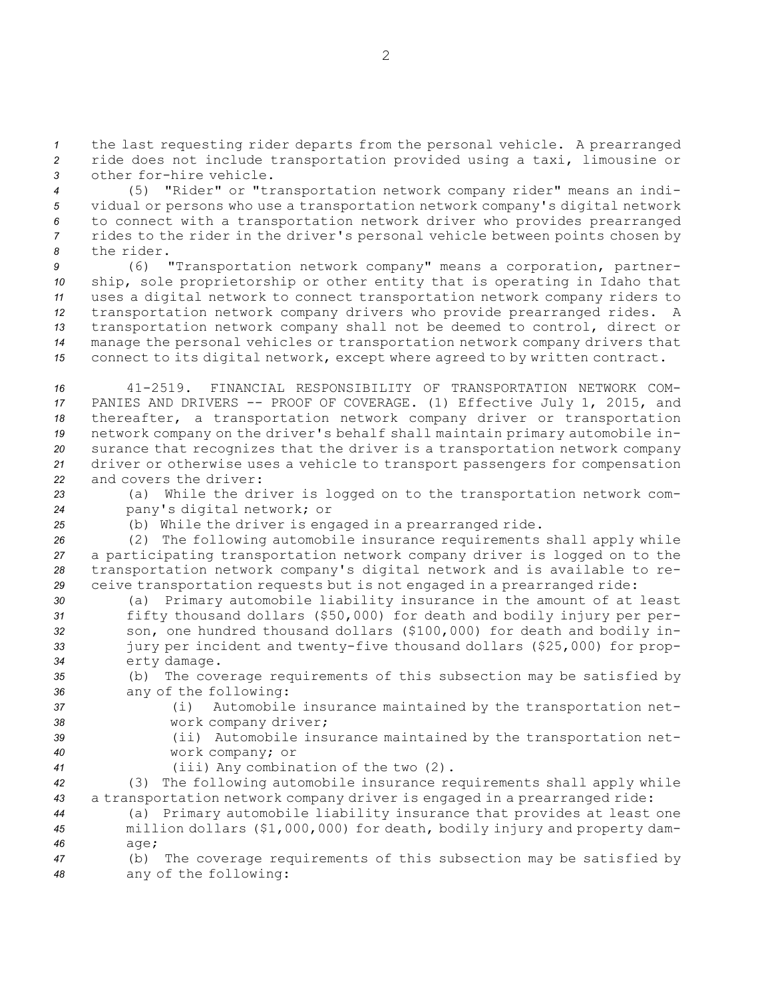*<sup>1</sup>* the last requesting rider departs from the personal vehicle. <sup>A</sup> prearranged *<sup>2</sup>* ride does not include transportation provided using <sup>a</sup> taxi, limousine or *3* other for-hire vehicle.

 (5) "Rider" or "transportation network company rider" means an indi- vidual or persons who use <sup>a</sup> transportation network company's digital network to connect with <sup>a</sup> transportation network driver who provides prearranged rides to the rider in the driver's personal vehicle between points chosen by the rider.

 (6) "Transportation network company" means <sup>a</sup> corporation, partner- ship, sole proprietorship or other entity that is operating in Idaho that uses <sup>a</sup> digital network to connect transportation network company riders to transportation network company drivers who provide prearranged rides. <sup>A</sup> transportation network company shall not be deemed to control, direct or manage the personal vehicles or transportation network company drivers that connect to its digital network, except where agreed to by written contract.

 41-2519. FINANCIAL RESPONSIBILITY OF TRANSPORTATION NETWORK COM- PANIES AND DRIVERS -- PROOF OF COVERAGE. (1) Effective July 1, 2015, and thereafter, <sup>a</sup> transportation network company driver or transportation network company on the driver's behalf shall maintain primary automobile in- surance that recognizes that the driver is <sup>a</sup> transportation network company driver or otherwise uses <sup>a</sup> vehicle to transport passengers for compensation and covers the driver:

*<sup>23</sup>* (a) While the driver is logged on to the transportation network com-*<sup>24</sup>* pany's digital network; or

*<sup>25</sup>* (b) While the driver is engaged in <sup>a</sup> prearranged ride.

 (2) The following automobile insurance requirements shall apply while <sup>a</sup> participating transportation network company driver is logged on to the transportation network company's digital network and is available to re-ceive transportation requests but is not engaged in <sup>a</sup> prearranged ride:

 (a) Primary automobile liability insurance in the amount of at least fifty thousand dollars (\$50,000) for death and bodily injury per per- son, one hundred thousand dollars (\$100,000) for death and bodily in- jury per incident and twenty-five thousand dollars (\$25,000) for prop-erty damage.

*<sup>35</sup>* (b) The coverage requirements of this subsection may be satisfied by *<sup>36</sup>* any of the following:

*<sup>37</sup>* (i) Automobile insurance maintained by the transportation net-*<sup>38</sup>* work company driver;

- *<sup>39</sup>* (ii) Automobile insurance maintained by the transportation net-*<sup>40</sup>* work company; or
- *<sup>41</sup>* (iii) Any combination of the two (2).

*<sup>42</sup>* (3) The following automobile insurance requirements shall apply while *<sup>43</sup>* <sup>a</sup> transportation network company driver is engaged in <sup>a</sup> prearranged ride:

*<sup>44</sup>* (a) Primary automobile liability insurance that provides at least one *<sup>45</sup>* million dollars (\$1,000,000) for death, bodily injury and property dam-*46* age;

*<sup>47</sup>* (b) The coverage requirements of this subsection may be satisfied by *<sup>48</sup>* any of the following: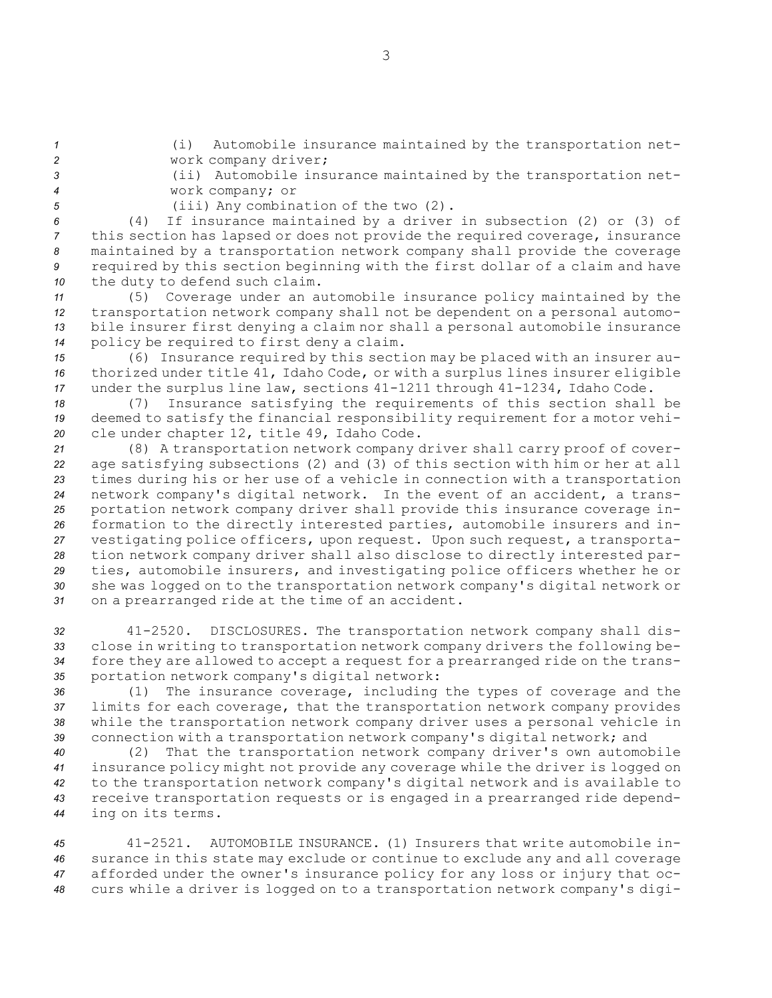*<sup>1</sup>* (i) Automobile insurance maintained by the transportation net-*<sup>2</sup>* work company driver;

*<sup>3</sup>* (ii) Automobile insurance maintained by the transportation net-*<sup>4</sup>* work company; or

*<sup>5</sup>* (iii) Any combination of the two (2).

 (4) If insurance maintained by <sup>a</sup> driver in subsection (2) or (3) of this section has lapsed or does not provide the required coverage, insurance maintained by <sup>a</sup> transportation network company shall provide the coverage required by this section beginning with the first dollar of <sup>a</sup> claim and have the duty to defend such claim.

 (5) Coverage under an automobile insurance policy maintained by the transportation network company shall not be dependent on <sup>a</sup> personal automo- bile insurer first denying <sup>a</sup> claim nor shall <sup>a</sup> personal automobile insurance policy be required to first deny <sup>a</sup> claim.

*<sup>15</sup>* (6) Insurance required by this section may be placed with an insurer au-*<sup>16</sup>* thorized under title 41, Idaho Code, or with <sup>a</sup> surplus lines insurer eligible *<sup>17</sup>* under the surplus line law, sections 41-1211 through 41-1234, Idaho Code.

*<sup>18</sup>* (7) Insurance satisfying the requirements of this section shall be *<sup>19</sup>* deemed to satisfy the financial responsibility requirement for <sup>a</sup> motor vehi-*<sup>20</sup>* cle under chapter 12, title 49, Idaho Code.

 (8) <sup>A</sup> transportation network company driver shall carry proof of cover- age satisfying subsections (2) and (3) of this section with him or her at all times during his or her use of <sup>a</sup> vehicle in connection with <sup>a</sup> transportation network company's digital network. In the event of an accident, <sup>a</sup> trans- portation network company driver shall provide this insurance coverage in- formation to the directly interested parties, automobile insurers and in- vestigating police officers, upon request. Upon such request, <sup>a</sup> transporta- tion network company driver shall also disclose to directly interested par- ties, automobile insurers, and investigating police officers whether he or she was logged on to the transportation network company's digital network or on <sup>a</sup> prearranged ride at the time of an accident.

 41-2520. DISCLOSURES. The transportation network company shall dis- close in writing to transportation network company drivers the following be- fore they are allowed to accept <sup>a</sup> request for <sup>a</sup> prearranged ride on the trans-portation network company's digital network:

 (1) The insurance coverage, including the types of coverage and the limits for each coverage, that the transportation network company provides while the transportation network company driver uses <sup>a</sup> personal vehicle in connection with <sup>a</sup> transportation network company's digital network; and

 (2) That the transportation network company driver's own automobile insurance policy might not provide any coverage while the driver is logged on to the transportation network company's digital network and is available to receive transportation requests or is engaged in <sup>a</sup> prearranged ride depend-ing on its terms.

 41-2521. AUTOMOBILE INSURANCE. (1) Insurers that write automobile in- surance in this state may exclude or continue to exclude any and all coverage afforded under the owner's insurance policy for any loss or injury that oc-curs while <sup>a</sup> driver is logged on to <sup>a</sup> transportation network company's digi-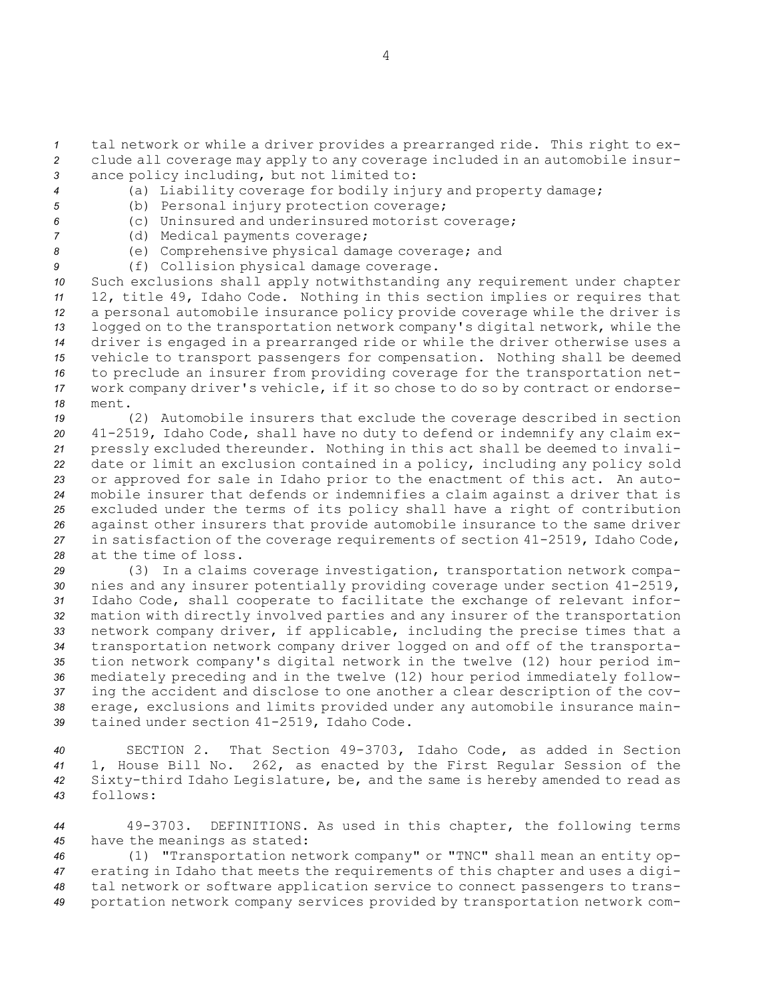*<sup>1</sup>* tal network or while <sup>a</sup> driver provides <sup>a</sup> prearranged ride. This right to ex-*<sup>2</sup>* clude all coverage may apply to any coverage included in an automobile insur-*<sup>3</sup>* ance policy including, but not limited to:

- *<sup>4</sup>* (a) Liability coverage for bodily injury and property damage;
- *<sup>5</sup>* (b) Personal injury protection coverage;
- *<sup>6</sup>* (c) Uninsured and underinsured motorist coverage;
- 
- *<sup>7</sup>* (d) Medical payments coverage;
- *<sup>8</sup>* (e) Comprehensive physical damage coverage; and
- *<sup>9</sup>* (f) Collision physical damage coverage.

 Such exclusions shall apply notwithstanding any requirement under chapter 12, title 49, Idaho Code. Nothing in this section implies or requires that <sup>a</sup> personal automobile insurance policy provide coverage while the driver is logged on to the transportation network company's digital network, while the driver is engaged in <sup>a</sup> prearranged ride or while the driver otherwise uses <sup>a</sup> vehicle to transport passengers for compensation. Nothing shall be deemed to preclude an insurer from providing coverage for the transportation net- work company driver's vehicle, if it so chose to do so by contract or endorse-*18* ment.

 (2) Automobile insurers that exclude the coverage described in section 41-2519, Idaho Code, shall have no duty to defend or indemnify any claim ex- pressly excluded thereunder. Nothing in this act shall be deemed to invali- date or limit an exclusion contained in <sup>a</sup> policy, including any policy sold or approved for sale in Idaho prior to the enactment of this act. An auto- mobile insurer that defends or indemnifies <sup>a</sup> claim against <sup>a</sup> driver that is excluded under the terms of its policy shall have <sup>a</sup> right of contribution against other insurers that provide automobile insurance to the same driver in satisfaction of the coverage requirements of section 41-2519, Idaho Code, at the time of loss.

 (3) In <sup>a</sup> claims coverage investigation, transportation network compa- nies and any insurer potentially providing coverage under section 41-2519, Idaho Code, shall cooperate to facilitate the exchange of relevant infor- mation with directly involved parties and any insurer of the transportation network company driver, if applicable, including the precise times that <sup>a</sup> transportation network company driver logged on and off of the transporta- tion network company's digital network in the twelve (12) hour period im- mediately preceding and in the twelve (12) hour period immediately follow- ing the accident and disclose to one another <sup>a</sup> clear description of the cov- erage, exclusions and limits provided under any automobile insurance main-tained under section 41-2519, Idaho Code.

 SECTION 2. That Section 49-3703, Idaho Code, as added in Section 1, House Bill No. 262, as enacted by the First Regular Session of the Sixty-third Idaho Legislature, be, and the same is hereby amended to read as *43* follows:

*<sup>44</sup>* 49-3703. DEFINITIONS. As used in this chapter, the following terms *<sup>45</sup>* have the meanings as stated:

 (1) "Transportation network company" or "TNC" shall mean an entity op- erating in Idaho that meets the requirements of this chapter and uses <sup>a</sup> digi- tal network or software application service to connect passengers to trans-portation network company services provided by transportation network com-